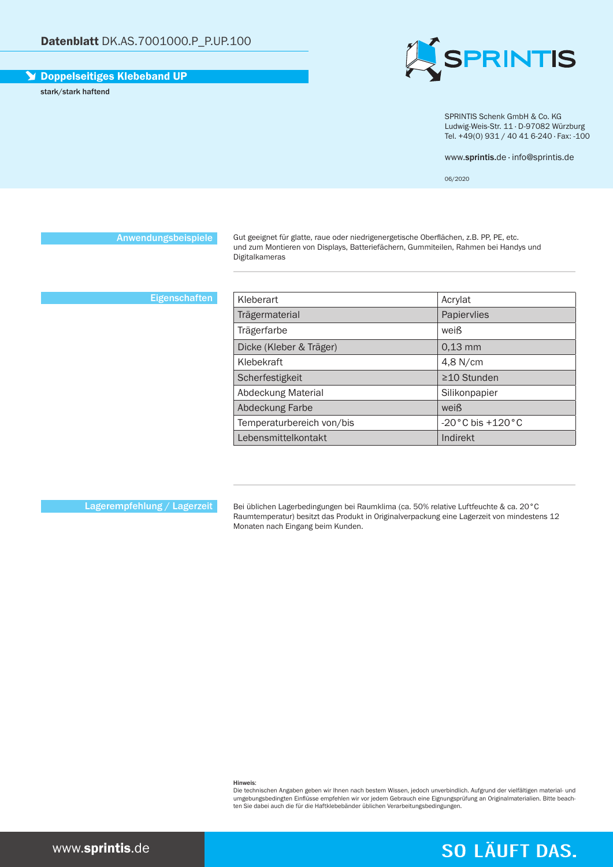# Doppelseitiges Klebeband UP

stark/stark haftend



SPRINTIS Schenk GmbH & Co. KG Ludwig-Weis-Str. 11 · D-97082 Würzburg Tel. +49(0) 931 / 40 41 6-240 · Fax: -100

www.sprintis.de · info@sprintis.de

06/2020

Anwendungsbeispiele

Gut geeignet für glatte, raue oder niedrigenergetische Oberflächen, z.B. PP, PE, etc. und zum Montieren von Displays, Batteriefächern, Gummiteilen, Rahmen bei Handys und Digitalkameras

## **Eigenschaften**

| Kleberart                 | Acrylat                            |
|---------------------------|------------------------------------|
| Trägermaterial            | Papiervlies                        |
| Trägerfarbe               | weiß                               |
| Dicke (Kleber & Träger)   | $0.13$ mm                          |
| Klebekraft                | 4,8 N/cm                           |
| Scherfestigkeit           | $\geq$ 10 Stunden                  |
| Abdeckung Material        | Silikonpapier                      |
| Abdeckung Farbe           | weiß                               |
| Temperaturbereich von/bis | $-20\degree$ C bis $+120\degree$ C |
| Lebensmittelkontakt       | Indirekt                           |

Lagerempfehlung / Lagerzeit

Bei üblichen Lagerbedingungen bei Raumklima (ca. 50% relative Luftfeuchte & ca. 20°C Raumtemperatur) besitzt das Produkt in Originalverpackung eine Lagerzeit von mindestens 12 Monaten nach Eingang beim Kunden.

Hinweis:

Die technischen Angaben geben wir Ihnen nach bestem Wissen, jedoch unverbindlich. Aufgrund der vielfältigen material- und<br>umgebungsbedingten Einflüsse empfehlen wir vor jedem Gebrauch eine Eignungsprüfung an Originalmateri ten Sie dabei auch die für die Haftklebebänder üblichen Verarbeitungsbedingungen.

# **SO LÄUFT DAS.**